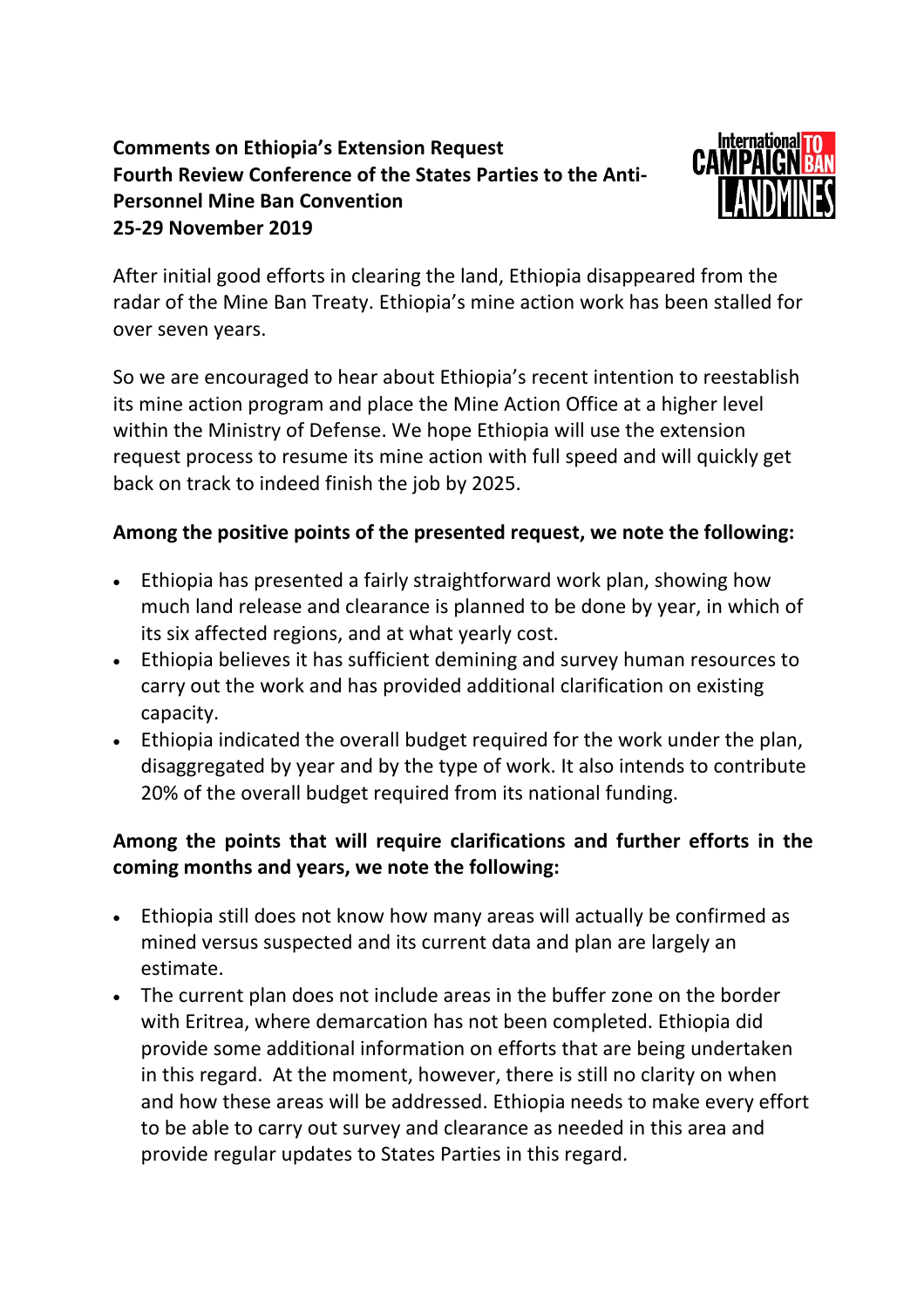## **Comments on Ethiopia's Extension Request Fourth Review Conference of the States Parties to the Anti-Personnel Mine Ban Convention 25-29 November 2019**



After initial good efforts in clearing the land, Ethiopia disappeared from the radar of the Mine Ban Treaty. Ethiopia's mine action work has been stalled for over seven years.

So we are encouraged to hear about Ethiopia's recent intention to reestablish its mine action program and place the Mine Action Office at a higher level within the Ministry of Defense. We hope Ethiopia will use the extension request process to resume its mine action with full speed and will quickly get back on track to indeed finish the job by 2025.

## **Among the positive points of the presented request, we note the following:**

- Ethiopia has presented a fairly straightforward work plan, showing how much land release and clearance is planned to be done by year, in which of its six affected regions, and at what yearly cost.
- Ethiopia believes it has sufficient demining and survey human resources to carry out the work and has provided additional clarification on existing capacity.
- Ethiopia indicated the overall budget required for the work under the plan, disaggregated by year and by the type of work. It also intends to contribute 20% of the overall budget required from its national funding.

## **Among the points that will require clarifications and further efforts in the coming months and years, we note the following:**

- Ethiopia still does not know how many areas will actually be confirmed as mined versus suspected and its current data and plan are largely an estimate.
- The current plan does not include areas in the buffer zone on the border with Eritrea, where demarcation has not been completed. Ethiopia did provide some additional information on efforts that are being undertaken in this regard. At the moment, however, there is still no clarity on when and how these areas will be addressed. Ethiopia needs to make every effort to be able to carry out survey and clearance as needed in this area and provide regular updates to States Parties in this regard.